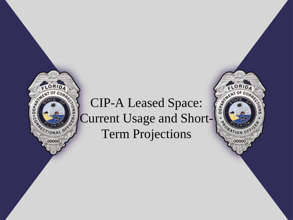## CIP-A Leased Space: Current Usage and Short-Term Projections

ENT OF CORP

**ROBATION OFF** 

00000

RID. ENT OF CORP

**AL OF** 

00000

C.E.R.

ă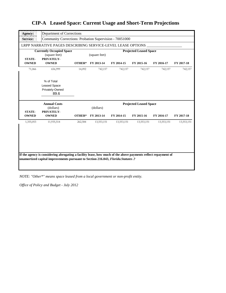| Agency:                       | Department of Corrections                                      |                                                |                         |            |            |            |            |  |  |  |
|-------------------------------|----------------------------------------------------------------|------------------------------------------------|-------------------------|------------|------------|------------|------------|--|--|--|
| Service:                      | Community Corrections: Probation Supervision - 70051000        |                                                |                         |            |            |            |            |  |  |  |
|                               | LRPP NARRATIVE PAGES DESCRIBING SERVICE-LEVEL LEASE OPTIONS    |                                                |                         |            |            |            |            |  |  |  |
| <b>STATE-</b>                 | <b>Currently Occupied Space</b><br>(square feet)<br>PRIVATELY- | <b>Projected Leased Space</b><br>(square feet) |                         |            |            |            |            |  |  |  |
| <b>OWNED</b>                  | <b>OWNED</b>                                                   | OTHER*                                         | FY 2013-14              | FY 2014-15 | FY 2015-16 | FY 2016-17 | FY 2017-18 |  |  |  |
| 71,066                        | 656,999                                                        | 14,092                                         | 742,157                 | 742,157    | 742,157    | 742,157    | 742,157    |  |  |  |
|                               | % of Total<br><b>Leased Space</b><br>Privately-Owned<br>89.6   |                                                |                         |            |            |            |            |  |  |  |
|                               | <b>Annual Costs</b>                                            | <b>Projected Leased Space</b>                  |                         |            |            |            |            |  |  |  |
|                               |                                                                |                                                |                         |            |            |            |            |  |  |  |
| <b>STATE-</b><br><b>OWNED</b> | (dollars)<br>PRIVATELY-<br><b>OWNED</b>                        | OTHER*                                         | (dollars)<br>FY 2013-14 | FY 2014-15 | FY 2015-16 | FY 2016-17 | FY 2017-18 |  |  |  |
| 1,355,053                     | 11,935,514                                                     | 262,584                                        | 13,553,151              | 13,553,151 | 13,553,151 | 13,553,151 | 13,553,151 |  |  |  |

## **CIP-A Leased Space: Current Usage and Short-Term Projections**

*NOTE: "Other\*" means space leased from a local government or non-profit entity.*

*Office of Policy and Budget - July 2012*